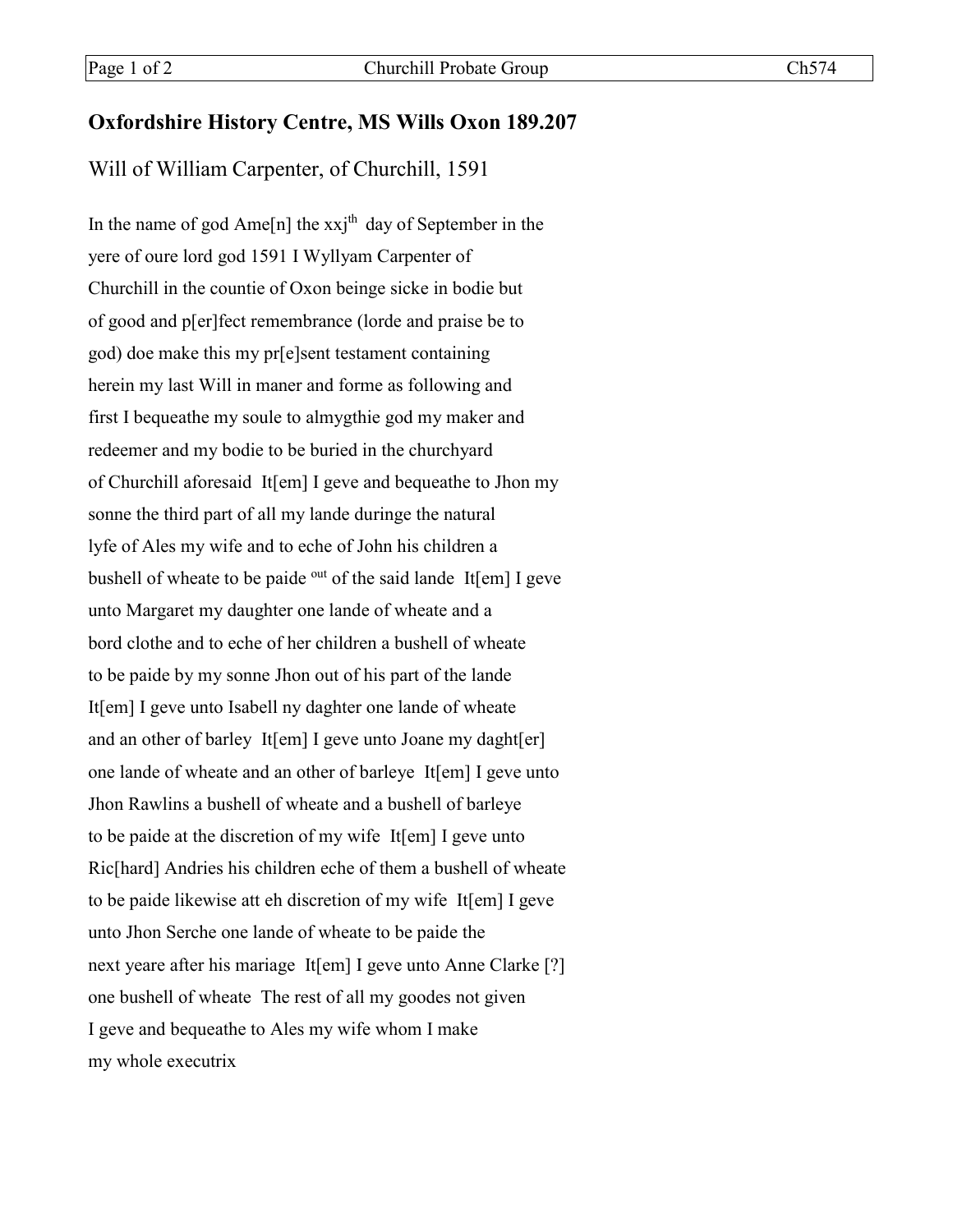## **Oxfordshire History Centre, MS Wills Oxon 189.207**

Will of William Carpenter, of Churchill, 1591

In the name of god Ame $[n]$  the xxj<sup>th</sup> day of September in the yere of oure lord god 1591 I Wyllyam Carpenter of Churchill in the countie of Oxon beinge sicke in bodie but of good and p[er]fect remembrance (lorde and praise be to god) doe make this my pr[e]sent testament containing herein my last Will in maner and forme as following and first I bequeathe my soule to almygthie god my maker and redeemer and my bodie to be buried in the churchyard of Churchill aforesaid It[em] I geve and bequeathe to Jhon my sonne the third part of all my lande duringe the natural lyfe of Ales my wife and to eche of John his children a bushell of wheate to be paide <sup>out</sup> of the said lande It[em] I geve unto Margaret my daughter one lande of wheate and a bord clothe and to eche of her children a bushell of wheate to be paide by my sonne Jhon out of his part of the lande It[em] I geve unto Isabell ny daghter one lande of wheate and an other of barley It[em] I geve unto Joane my daght[er] one lande of wheate and an other of barleye It[em] I geve unto Jhon Rawlins a bushell of wheate and a bushell of barleye to be paide at the discretion of my wife It[em] I geve unto Ric[hard] Andries his children eche of them a bushell of wheate to be paide likewise att eh discretion of my wife It[em] I geve unto Jhon Serche one lande of wheate to be paide the next yeare after his mariage It[em] I geve unto Anne Clarke [?] one bushell of wheate The rest of all my goodes not given I geve and bequeathe to Ales my wife whom I make my whole executrix